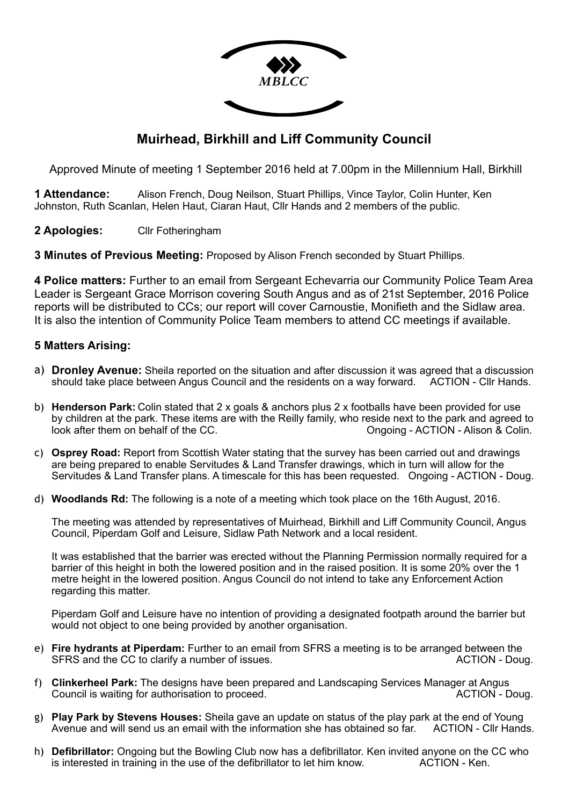

# **Muirhead, Birkhill and Liff Community Council**

Approved Minute of meeting 1 September 2016 held at 7.00pm in the Millennium Hall, Birkhill

**1 Attendance:** Alison French, Doug Neilson, Stuart Phillips, Vince Taylor, Colin Hunter, Ken Johnston, Ruth Scanlan, Helen Haut, Ciaran Haut, Cllr Hands and 2 members of the public.

**2 Apologies:** Cllr Fotheringham

**3 Minutes of Previous Meeting:** Proposed by Alison French seconded by Stuart Phillips.

**4 Police matters:** Further to an email from Sergeant Echevarria our Community Police Team Area Leader is Sergeant Grace Morrison covering South Angus and as of 21st September, 2016 Police reports will be distributed to CCs; our report will cover Carnoustie, Monifieth and the Sidlaw area. It is also the intention of Community Police Team members to attend CC meetings if available.

## **5 Matters Arising:**

- a) **Dronley Avenue:** Sheila reported on the situation and after discussion it was agreed that a discussion should take place between Angus Council and the residents on a way forward. ACTION - Cllr Hands.
- b) **Henderson Park:** Colin stated that 2 x goals & anchors plus 2 x footballs have been provided for use by children at the park. These items are with the Reilly family, who reside next to the park and agreed to look after them on behalf of the CC. **Ongoing - ACTION - Alison & Colin.**
- c) **Osprey Road:** Report from Scottish Water stating that the survey has been carried out and drawings are being prepared to enable Servitudes & Land Transfer drawings, which in turn will allow for the Servitudes & Land Transfer plans. A timescale for this has been requested. Ongoing - ACTION - Doug.
- d) **Woodlands Rd:** The following is a note of a meeting which took place on the 16th August, 2016.

The meeting was attended by representatives of Muirhead, Birkhill and Liff Community Council, Angus Council, Piperdam Golf and Leisure, Sidlaw Path Network and a local resident.

It was established that the barrier was erected without the Planning Permission normally required for a barrier of this height in both the lowered position and in the raised position. It is some 20% over the 1 metre height in the lowered position. Angus Council do not intend to take any Enforcement Action regarding this matter.

Piperdam Golf and Leisure have no intention of providing a designated footpath around the barrier but would not object to one being provided by another organisation.

- e) **Fire hydrants at Piperdam:** Further to an email from SFRS a meeting is to be arranged between the SFRS and the CC to clarify a number of issues.  $\overline{A}$  ACTION - Doug.
- f) **Clinkerheel Park:** The designs have been prepared and Landscaping Services Manager at Angus Council is waiting for authorisation to proceed. ACTION - Doug.
- g) **Play Park by Stevens Houses:** Sheila gave an update on status of the play park at the end of Young Avenue and will send us an email with the information she has obtained so far.
- h) **Defibrillator:** Ongoing but the Bowling Club now has a defibrillator. Ken invited anyone on the CC who is interested in training in the use of the defibrillator to let him know. ACTION - Ken.